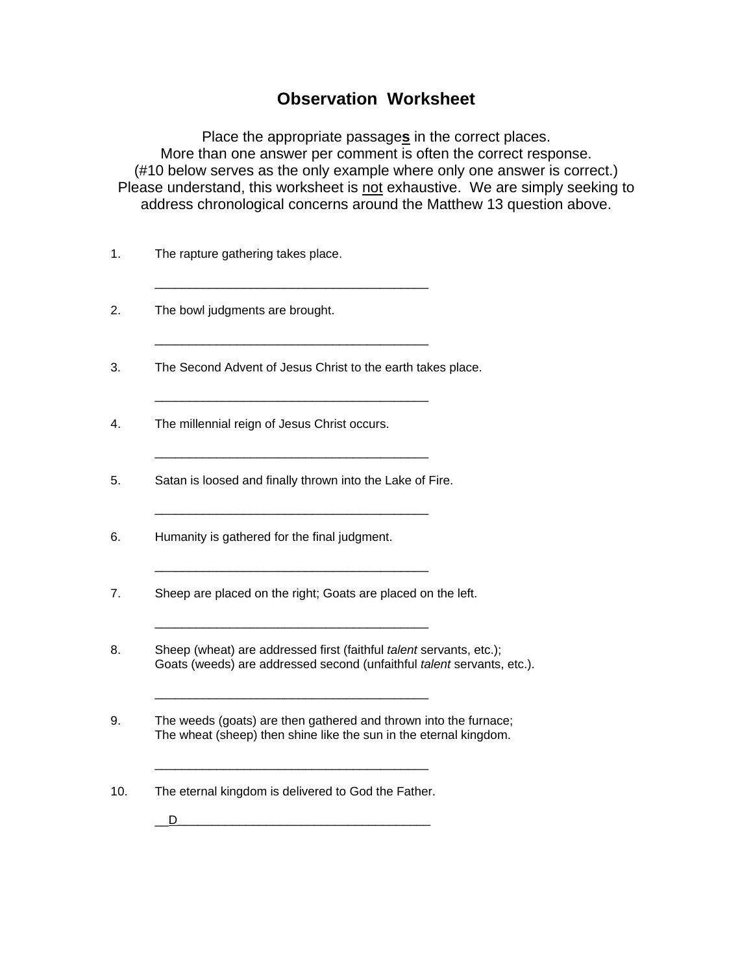## **Observation Worksheet**

Place the appropriate passage**s** in the correct places. More than one answer per comment is often the correct response. (#10 below serves as the only example where only one answer is correct.) Please understand, this worksheet is not exhaustive. We are simply seeking to address chronological concerns around the Matthew 13 question above.

- 1. The rapture gathering takes place.
- 2. The bowl judgments are brought.
- 3. The Second Advent of Jesus Christ to the earth takes place.

 $\frac{1}{\sqrt{2}}$  ,  $\frac{1}{\sqrt{2}}$  ,  $\frac{1}{\sqrt{2}}$  ,  $\frac{1}{\sqrt{2}}$  ,  $\frac{1}{\sqrt{2}}$  ,  $\frac{1}{\sqrt{2}}$  ,  $\frac{1}{\sqrt{2}}$  ,  $\frac{1}{\sqrt{2}}$  ,  $\frac{1}{\sqrt{2}}$  ,  $\frac{1}{\sqrt{2}}$  ,  $\frac{1}{\sqrt{2}}$  ,  $\frac{1}{\sqrt{2}}$  ,  $\frac{1}{\sqrt{2}}$  ,  $\frac{1}{\sqrt{2}}$  ,  $\frac{1}{\sqrt{2}}$ 

 $\frac{1}{\sqrt{2}}$  ,  $\frac{1}{\sqrt{2}}$  ,  $\frac{1}{\sqrt{2}}$  ,  $\frac{1}{\sqrt{2}}$  ,  $\frac{1}{\sqrt{2}}$  ,  $\frac{1}{\sqrt{2}}$  ,  $\frac{1}{\sqrt{2}}$  ,  $\frac{1}{\sqrt{2}}$  ,  $\frac{1}{\sqrt{2}}$  ,  $\frac{1}{\sqrt{2}}$  ,  $\frac{1}{\sqrt{2}}$  ,  $\frac{1}{\sqrt{2}}$  ,  $\frac{1}{\sqrt{2}}$  ,  $\frac{1}{\sqrt{2}}$  ,  $\frac{1}{\sqrt{2}}$ 

 $\frac{1}{\sqrt{2}}$  ,  $\frac{1}{\sqrt{2}}$  ,  $\frac{1}{\sqrt{2}}$  ,  $\frac{1}{\sqrt{2}}$  ,  $\frac{1}{\sqrt{2}}$  ,  $\frac{1}{\sqrt{2}}$  ,  $\frac{1}{\sqrt{2}}$  ,  $\frac{1}{\sqrt{2}}$  ,  $\frac{1}{\sqrt{2}}$  ,  $\frac{1}{\sqrt{2}}$  ,  $\frac{1}{\sqrt{2}}$  ,  $\frac{1}{\sqrt{2}}$  ,  $\frac{1}{\sqrt{2}}$  ,  $\frac{1}{\sqrt{2}}$  ,  $\frac{1}{\sqrt{2}}$ 

 $\frac{1}{\sqrt{2}}$  ,  $\frac{1}{\sqrt{2}}$  ,  $\frac{1}{\sqrt{2}}$  ,  $\frac{1}{\sqrt{2}}$  ,  $\frac{1}{\sqrt{2}}$  ,  $\frac{1}{\sqrt{2}}$  ,  $\frac{1}{\sqrt{2}}$  ,  $\frac{1}{\sqrt{2}}$  ,  $\frac{1}{\sqrt{2}}$  ,  $\frac{1}{\sqrt{2}}$  ,  $\frac{1}{\sqrt{2}}$  ,  $\frac{1}{\sqrt{2}}$  ,  $\frac{1}{\sqrt{2}}$  ,  $\frac{1}{\sqrt{2}}$  ,  $\frac{1}{\sqrt{2}}$ 

 $\frac{1}{\sqrt{2}}$  ,  $\frac{1}{\sqrt{2}}$  ,  $\frac{1}{\sqrt{2}}$  ,  $\frac{1}{\sqrt{2}}$  ,  $\frac{1}{\sqrt{2}}$  ,  $\frac{1}{\sqrt{2}}$  ,  $\frac{1}{\sqrt{2}}$  ,  $\frac{1}{\sqrt{2}}$  ,  $\frac{1}{\sqrt{2}}$  ,  $\frac{1}{\sqrt{2}}$  ,  $\frac{1}{\sqrt{2}}$  ,  $\frac{1}{\sqrt{2}}$  ,  $\frac{1}{\sqrt{2}}$  ,  $\frac{1}{\sqrt{2}}$  ,  $\frac{1}{\sqrt{2}}$ 

 $\frac{1}{\sqrt{2}}$  ,  $\frac{1}{\sqrt{2}}$  ,  $\frac{1}{\sqrt{2}}$  ,  $\frac{1}{\sqrt{2}}$  ,  $\frac{1}{\sqrt{2}}$  ,  $\frac{1}{\sqrt{2}}$  ,  $\frac{1}{\sqrt{2}}$  ,  $\frac{1}{\sqrt{2}}$  ,  $\frac{1}{\sqrt{2}}$  ,  $\frac{1}{\sqrt{2}}$  ,  $\frac{1}{\sqrt{2}}$  ,  $\frac{1}{\sqrt{2}}$  ,  $\frac{1}{\sqrt{2}}$  ,  $\frac{1}{\sqrt{2}}$  ,  $\frac{1}{\sqrt{2}}$ 

 $\frac{1}{\sqrt{2}}$  ,  $\frac{1}{\sqrt{2}}$  ,  $\frac{1}{\sqrt{2}}$  ,  $\frac{1}{\sqrt{2}}$  ,  $\frac{1}{\sqrt{2}}$  ,  $\frac{1}{\sqrt{2}}$  ,  $\frac{1}{\sqrt{2}}$  ,  $\frac{1}{\sqrt{2}}$  ,  $\frac{1}{\sqrt{2}}$  ,  $\frac{1}{\sqrt{2}}$  ,  $\frac{1}{\sqrt{2}}$  ,  $\frac{1}{\sqrt{2}}$  ,  $\frac{1}{\sqrt{2}}$  ,  $\frac{1}{\sqrt{2}}$  ,  $\frac{1}{\sqrt{2}}$ 

 $\frac{1}{\sqrt{2}}$  ,  $\frac{1}{\sqrt{2}}$  ,  $\frac{1}{\sqrt{2}}$  ,  $\frac{1}{\sqrt{2}}$  ,  $\frac{1}{\sqrt{2}}$  ,  $\frac{1}{\sqrt{2}}$  ,  $\frac{1}{\sqrt{2}}$  ,  $\frac{1}{\sqrt{2}}$  ,  $\frac{1}{\sqrt{2}}$  ,  $\frac{1}{\sqrt{2}}$  ,  $\frac{1}{\sqrt{2}}$  ,  $\frac{1}{\sqrt{2}}$  ,  $\frac{1}{\sqrt{2}}$  ,  $\frac{1}{\sqrt{2}}$  ,  $\frac{1}{\sqrt{2}}$ 

- 4. The millennial reign of Jesus Christ occurs.
- 5. Satan is loosed and finally thrown into the Lake of Fire.
- 6. Humanity is gathered for the final judgment.
- 7. Sheep are placed on the right; Goats are placed on the left.
- 8. Sheep (wheat) are addressed first (faithful *talent* servants, etc.); Goats (weeds) are addressed second (unfaithful *talent* servants, etc.).
- 9. The weeds (goats) are then gathered and thrown into the furnace; The wheat (sheep) then shine like the sun in the eternal kingdom.
- 10. The eternal kingdom is delivered to God the Father.

 $\frac{1}{\sqrt{2}}$  ,  $\frac{1}{\sqrt{2}}$  ,  $\frac{1}{\sqrt{2}}$  ,  $\frac{1}{\sqrt{2}}$  ,  $\frac{1}{\sqrt{2}}$  ,  $\frac{1}{\sqrt{2}}$  ,  $\frac{1}{\sqrt{2}}$  ,  $\frac{1}{\sqrt{2}}$  ,  $\frac{1}{\sqrt{2}}$  ,  $\frac{1}{\sqrt{2}}$  ,  $\frac{1}{\sqrt{2}}$  ,  $\frac{1}{\sqrt{2}}$  ,  $\frac{1}{\sqrt{2}}$  ,  $\frac{1}{\sqrt{2}}$  ,  $\frac{1}{\sqrt{2}}$ 

 $\Box$  D  $\Box$